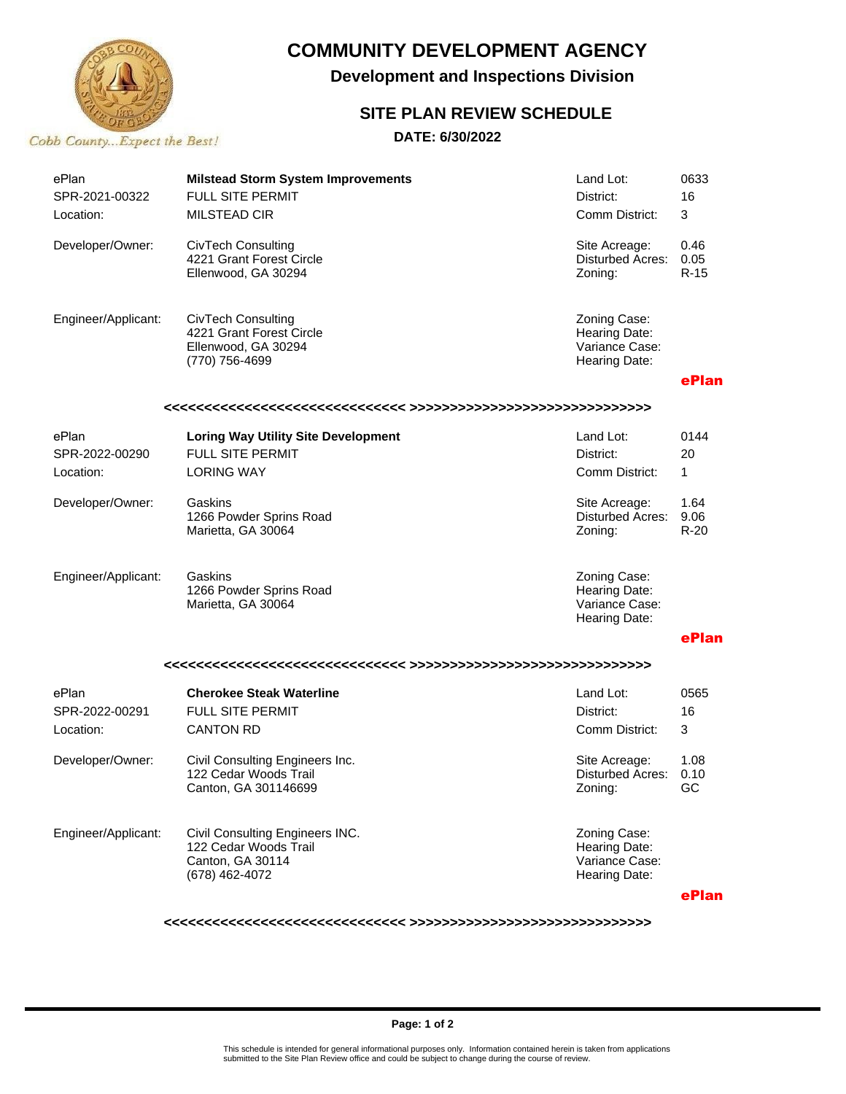

## **COMMUNITY DEVELOPMENT AGENCY**

**Development and Inspections Division**

## **SITE PLAN REVIEW SCHEDULE**

### **DATE: 6/30/2022**

| ePlan<br>SPR-2021-00322 | <b>Milstead Storm System Improvements</b><br><b>FULL SITE PERMIT</b>                           | Land Lot:<br>District:                                           | 0633<br>16             |  |  |
|-------------------------|------------------------------------------------------------------------------------------------|------------------------------------------------------------------|------------------------|--|--|
| Location:               | <b>MILSTEAD CIR</b>                                                                            | Comm District:                                                   | 3                      |  |  |
| Developer/Owner:        | <b>CivTech Consulting</b><br>4221 Grant Forest Circle<br>Ellenwood, GA 30294                   | Site Acreage:<br>Disturbed Acres:<br>Zoning:                     | 0.46<br>0.05<br>R-15   |  |  |
| Engineer/Applicant:     | <b>CivTech Consulting</b><br>4221 Grant Forest Circle<br>Ellenwood, GA 30294<br>(770) 756-4699 | Zoning Case:<br>Hearing Date:<br>Variance Case:<br>Hearing Date: |                        |  |  |
|                         |                                                                                                |                                                                  | ePlan                  |  |  |
|                         |                                                                                                |                                                                  |                        |  |  |
| ePlan                   | <b>Loring Way Utility Site Development</b>                                                     | Land Lot:                                                        | 0144                   |  |  |
| SPR-2022-00290          | <b>FULL SITE PERMIT</b>                                                                        | District:                                                        | 20                     |  |  |
| Location:               | <b>LORING WAY</b>                                                                              | Comm District:                                                   | $\mathbf{1}$           |  |  |
| Developer/Owner:        | Gaskins<br>1266 Powder Sprins Road<br>Marietta, GA 30064                                       | Site Acreage:<br>Disturbed Acres:<br>Zoning:                     | 1.64<br>9.06<br>$R-20$ |  |  |
| Engineer/Applicant:     | Gaskins<br>1266 Powder Sprins Road<br>Marietta, GA 30064                                       | Zoning Case:<br>Hearing Date:<br>Variance Case:<br>Hearing Date: |                        |  |  |
|                         |                                                                                                |                                                                  | ePlan                  |  |  |
|                         |                                                                                                |                                                                  |                        |  |  |
| ePlan                   | <b>Cherokee Steak Waterline</b>                                                                | Land Lot:                                                        | 0565                   |  |  |
| SPR-2022-00291          | <b>FULL SITE PERMIT</b>                                                                        | District:                                                        | 16                     |  |  |
| Location:               | <b>CANTON RD</b>                                                                               | Comm District:                                                   | 3                      |  |  |
| Developer/Owner:        | Civil Consulting Engineers Inc.<br>122 Cedar Woods Trail<br>Canton, GA 301146699               | Site Acreage:<br><b>Disturbed Acres:</b><br>Zoning:              | 1.08<br>0.10<br>GC     |  |  |
| Engineer/Applicant:     | Civil Consulting Engineers INC.<br>122 Cedar Woods Trail<br>Canton, GA 30114<br>(678) 462-4072 | Zoning Case:<br>Hearing Date:<br>Variance Case:<br>Hearing Date: |                        |  |  |
|                         |                                                                                                |                                                                  | ePlan                  |  |  |

**<<<<<<<<<<<<<<<<<<<<<<<<<<<<<< >>>>>>>>>>>>>>>>>>>>>>>>>>>>>>**